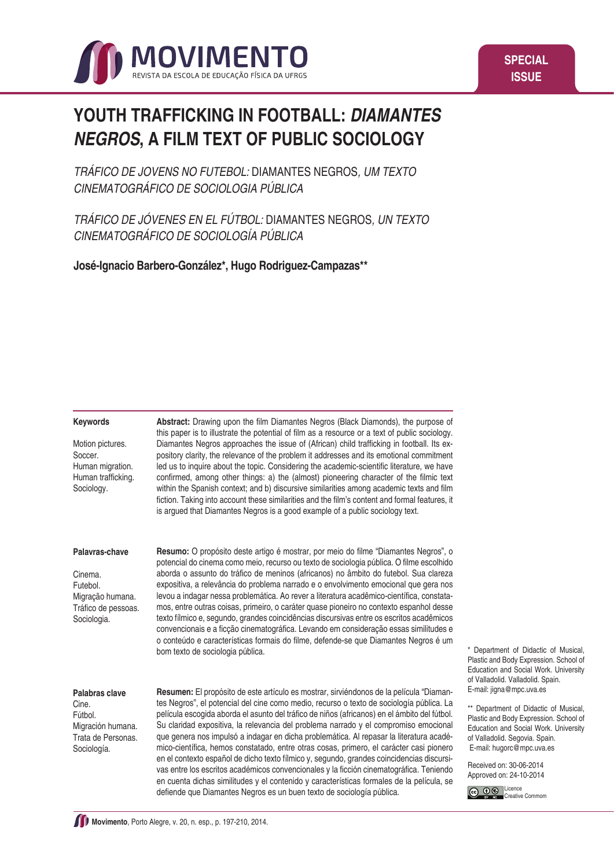

# **YOUTH TRAFFICKING IN FOOTBALL:** *DIAMANTES NEGROS***, A FILM TEXT OF PUBLIC SOCIOLOGY**

*TRÁFICO DE JOVENS NO FUTEBOL:* DIAMANTES NEGROS*, UM TEXTO CINEMATOGRÁFICO DE SOCIOLOGIA PÚBLICA*

*TRÁFICO DE JÓVENES EN EL FÚTBOL:* DIAMANTES NEGROS*, UN TEXTO CINEMATOGRÁFICO DE SOCIOLOGÍA PÚBLICA*

**José-Ignacio Barbero-González\*, Hugo Rodriguez-Campazas\*\***

#### **Keywords**

Motion pictures. Soccer. Human migration. Human trafficking. Sociology.

**Abstract:** Drawing upon the film Diamantes Negros (Black Diamonds), the purpose of this paper is to illustrate the potential of film as a resource or a text of public sociology. Diamantes Negros approaches the issue of (African) child trafficking in football. Its expository clarity, the relevance of the problem it addresses and its emotional commitment led us to inquire about the topic. Considering the academic-scientific literature, we have confirmed, among other things: a) the (almost) pioneering character of the filmic text within the Spanish context; and b) discursive similarities among academic texts and film fiction. Taking into account these similarities and the film's content and formal features, it is argued that Diamantes Negros is a good example of a public sociology text.

#### **Palavras-chave**

Cinema. Futebol. Migração humana. Tráfico de pessoas. Sociologia.

**Resumo:** O propósito deste artigo é mostrar, por meio do filme "Diamantes Negros", o potencial do cinema como meio, recurso ou texto de sociologia pública. O filme escolhido aborda o assunto do tráfico de meninos (africanos) no âmbito do futebol. Sua clareza expositiva, a relevância do problema narrado e o envolvimento emocional que gera nos levou a indagar nessa problemática. Ao rever a literatura acadêmico-científica, constatamos, entre outras coisas, primeiro, o caráter quase pioneiro no contexto espanhol desse texto fílmico e, segundo, grandes coincidências discursivas entre os escritos acadêmicos convencionais e a ficção cinematográfica. Levando em consideração essas similitudes e o conteúdo e características formais do filme, defende-se que Diamantes Negros é um bom texto de sociologia pública.

#### **Palabras clave** Cine. Fútbol. Migración humana. Trata de Personas. Sociología.

**Resumen:** El propósito de este artículo es mostrar, sirviéndonos de la película "Diamantes Negros", el potencial del cine como medio, recurso o texto de sociología pública. La película escogida aborda el asunto del tráfico de niños (africanos) en el ámbito del fútbol. Su claridad expositiva, la relevancia del problema narrado y el compromiso emocional que genera nos impulsó a indagar en dicha problemática. Al repasar la literatura académico-científica, hemos constatado, entre otras cosas, primero, el carácter casi pionero en el contexto español de dicho texto fílmico y, segundo, grandes coincidencias discursivas entre los escritos académicos convencionales y la ficción cinematográfica. Teniendo en cuenta dichas similitudes y el contenido y características formales de la película, se defiende que Diamantes Negros es un buen texto de sociología pública.

\* Department of Didactic of Musical, Plastic and Body Expression. School of Education and Social Work. University of Valladolid. Valladolid. Spain. E-mail: jigna@mpc.uva.es

\*\* Department of Didactic of Musical, Plastic and Body Expression. School of Education and Social Work. University of Valladolid. Segovia. Spain. E-mail: hugorc@mpc.uva.es

Received on: 30-06-2014 Approved on: 24-10-2014

Co **O** S Licence Creative Commom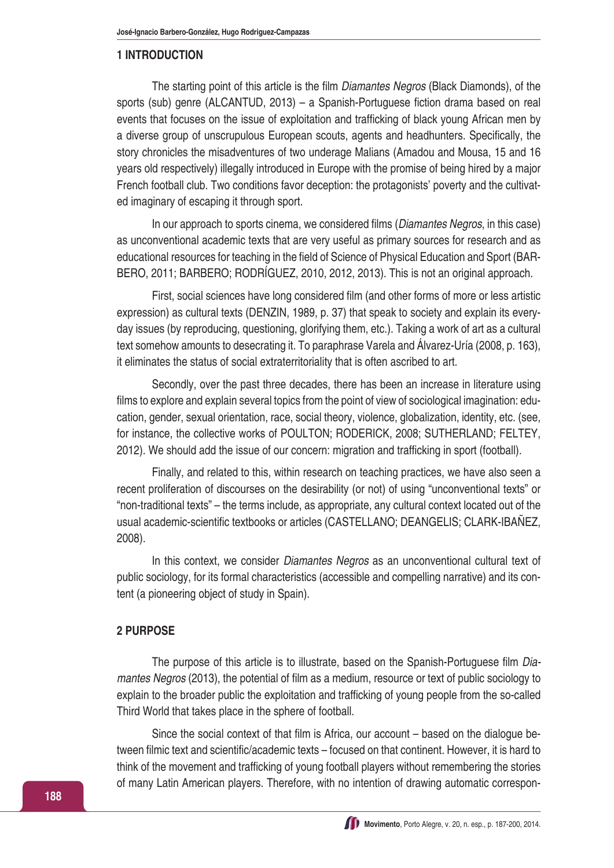## **1 INTRODUCTION**

The starting point of this article is the film *Diamantes Negros* (Black Diamonds), of the sports (sub) genre (ALCANTUD, 2013) – a Spanish-Portuguese fiction drama based on real events that focuses on the issue of exploitation and trafficking of black young African men by a diverse group of unscrupulous European scouts, agents and headhunters. Specifically, the story chronicles the misadventures of two underage Malians (Amadou and Mousa, 15 and 16 years old respectively) illegally introduced in Europe with the promise of being hired by a major French football club. Two conditions favor deception: the protagonists' poverty and the cultivated imaginary of escaping it through sport.

In our approach to sports cinema, we considered films (*Diamantes Negros*, in this case) as unconventional academic texts that are very useful as primary sources for research and as educational resources for teaching in the field of Science of Physical Education and Sport (BAR-BERO, 2011; BARBERO; RODRÍGUEZ, 2010, 2012, 2013). This is not an original approach.

First, social sciences have long considered film (and other forms of more or less artistic expression) as cultural texts (DENZIN, 1989, p. 37) that speak to society and explain its everyday issues (by reproducing, questioning, glorifying them, etc.). Taking a work of art as a cultural text somehow amounts to desecrating it. To paraphrase Varela and Álvarez-Uría (2008, p. 163), it eliminates the status of social extraterritoriality that is often ascribed to art.

Secondly, over the past three decades, there has been an increase in literature using films to explore and explain several topics from the point of view of sociological imagination: education, gender, sexual orientation, race, social theory, violence, globalization, identity, etc. (see, for instance, the collective works of POULTON; RODERICK, 2008; SUTHERLAND; FELTEY, 2012). We should add the issue of our concern: migration and trafficking in sport (football).

Finally, and related to this, within research on teaching practices, we have also seen a recent proliferation of discourses on the desirability (or not) of using "unconventional texts" or "non-traditional texts" – the terms include, as appropriate, any cultural context located out of the usual academic-scientific textbooks or articles (CASTELLANO; DEANGELIS; CLARK-IBAÑEZ, 2008).

In this context, we consider *Diamantes Negros* as an unconventional cultural text of public sociology, for its formal characteristics (accessible and compelling narrative) and its content (a pioneering object of study in Spain).

### **2 PURPOSE**

The purpose of this article is to illustrate, based on the Spanish-Portuguese film *Diamantes Negros* (2013), the potential of film as a medium, resource or text of public sociology to explain to the broader public the exploitation and trafficking of young people from the so-called Third World that takes place in the sphere of football.

Since the social context of that film is Africa, our account – based on the dialogue between filmic text and scientific/academic texts – focused on that continent. However, it is hard to think of the movement and trafficking of young football players without remembering the stories of many Latin American players. Therefore, with no intention of drawing automatic correspon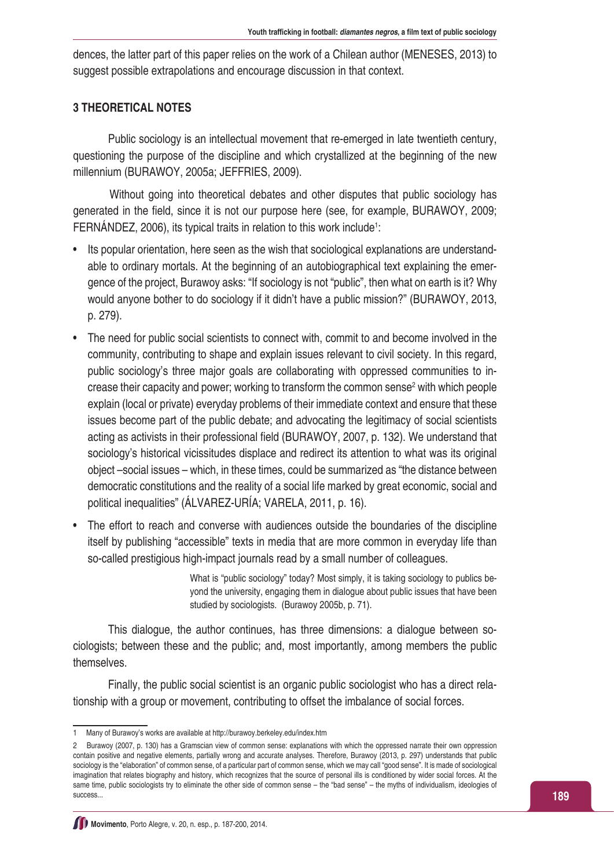dences, the latter part of this paper relies on the work of a Chilean author (MENESES, 2013) to suggest possible extrapolations and encourage discussion in that context.

# **3 THEORETICAL NOTES**

Public sociology is an intellectual movement that re-emerged in late twentieth century, questioning the purpose of the discipline and which crystallized at the beginning of the new millennium (BURAWOY, 2005a; JEFFRIES, 2009).

Without going into theoretical debates and other disputes that public sociology has generated in the field, since it is not our purpose here (see, for example, BURAWOY, 2009; FERNANDEZ, 2006), its typical traits in relation to this work include<sup>1</sup>:

- Its popular orientation, here seen as the wish that sociological explanations are understandable to ordinary mortals. At the beginning of an autobiographical text explaining the emergence of the project, Burawoy asks: "If sociology is not "public", then what on earth is it? Why would anyone bother to do sociology if it didn't have a public mission?" (BURAWOY, 2013, p. 279).
- The need for public social scientists to connect with, commit to and become involved in the community, contributing to shape and explain issues relevant to civil society. In this regard, public sociology's three major goals are collaborating with oppressed communities to increase their capacity and power; working to transform the common sense<sup>2</sup> with which people explain (local or private) everyday problems of their immediate context and ensure that these issues become part of the public debate; and advocating the legitimacy of social scientists acting as activists in their professional field (BURAWOY, 2007, p. 132). We understand that sociology's historical vicissitudes displace and redirect its attention to what was its original object –social issues – which, in these times, could be summarized as "the distance between democratic constitutions and the reality of a social life marked by great economic, social and political inequalities" (ÁLVAREZ-URÍA; VARELA, 2011, p. 16).
- The effort to reach and converse with audiences outside the boundaries of the discipline itself by publishing "accessible" texts in media that are more common in everyday life than so-called prestigious high-impact journals read by a small number of colleagues.

What is "public sociology" today? Most simply, it is taking sociology to publics beyond the university, engaging them in dialogue about public issues that have been studied by sociologists. (Burawoy 2005b, p. 71).

This dialogue, the author continues, has three dimensions: a dialogue between sociologists; between these and the public; and, most importantly, among members the public themselves.

Finally, the public social scientist is an organic public sociologist who has a direct relationship with a group or movement, contributing to offset the imbalance of social forces.

<sup>1</sup> Many of Burawoy's works are available at http://burawoy.berkeley.edu/index.htm

<sup>2</sup> Burawoy (2007, p. 130) has a Gramscian view of common sense: explanations with which the oppressed narrate their own oppression contain positive and negative elements, partially wrong and accurate analyses. Therefore, Burawoy (2013, p. 297) understands that public sociology is the "elaboration" of common sense, of a particular part of common sense, which we may call "good sense". It is made of sociological imagination that relates biography and history, which recognizes that the source of personal ills is conditioned by wider social forces. At the same time, public sociologists try to eliminate the other side of common sense – the "bad sense" – the myths of individualism, ideologies of success..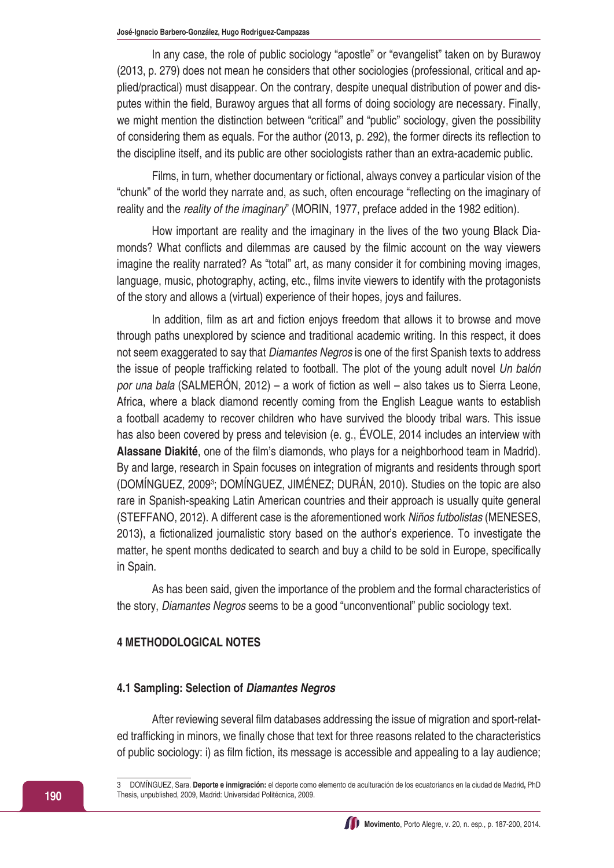In any case, the role of public sociology "apostle" or "evangelist" taken on by Burawoy (2013, p. 279) does not mean he considers that other sociologies (professional, critical and applied/practical) must disappear. On the contrary, despite unequal distribution of power and disputes within the field, Burawoy argues that all forms of doing sociology are necessary. Finally, we might mention the distinction between "critical" and "public" sociology, given the possibility of considering them as equals. For the author (2013, p. 292), the former directs its reflection to the discipline itself, and its public are other sociologists rather than an extra-academic public.

Films, in turn, whether documentary or fictional, always convey a particular vision of the "chunk" of the world they narrate and, as such, often encourage "reflecting on the imaginary of reality and the *reality of the imaginary*" (MORIN, 1977, preface added in the 1982 edition).

How important are reality and the imaginary in the lives of the two young Black Diamonds? What conflicts and dilemmas are caused by the filmic account on the way viewers imagine the reality narrated? As "total" art, as many consider it for combining moving images, language, music, photography, acting, etc., films invite viewers to identify with the protagonists of the story and allows a (virtual) experience of their hopes, joys and failures.

In addition, film as art and fiction enjoys freedom that allows it to browse and move through paths unexplored by science and traditional academic writing. In this respect, it does not seem exaggerated to say that *Diamantes Negros* is one of the first Spanish texts to address the issue of people trafficking related to football. The plot of the young adult novel *Un balón por una bala* (SALMERÓN, 2012) – a work of fiction as well – also takes us to Sierra Leone, Africa, where a black diamond recently coming from the English League wants to establish a football academy to recover children who have survived the bloody tribal wars. This issue has also been covered by press and television (e. g., ÉVOLE, 2014 includes an interview with **Alassane Diakité**, one of the film's diamonds, who plays for a neighborhood team in Madrid). By and large, research in Spain focuses on integration of migrants and residents through sport (DOMÍNGUEZ, 20093 ; DOMÍNGUEZ, JIMÉNEZ; DURÁN, 2010). Studies on the topic are also rare in Spanish-speaking Latin American countries and their approach is usually quite general (STEFFANO, 2012). A different case is the aforementioned work *Niños futbolistas* (MENESES, 2013), a fictionalized journalistic story based on the author's experience. To investigate the matter, he spent months dedicated to search and buy a child to be sold in Europe, specifically in Spain.

As has been said, given the importance of the problem and the formal characteristics of the story, *Diamantes Negros* seems to be a good "unconventional" public sociology text.

# **4 METHODOLOGICAL NOTES**

#### **4.1 Sampling: Selection of** *Diamantes Negros*

After reviewing several film databases addressing the issue of migration and sport-related trafficking in minors, we finally chose that text for three reasons related to the characteristics of public sociology: i) as film fiction, its message is accessible and appealing to a lay audience;

3 DOMÍNGUEZ, Sara. **Deporte e inmigración:** el deporte como elemento de aculturación de los ecuatorianos en la ciudad de Madrid**,** PhD Thesis, unpublished, 2009, Madrid: Universidad Politécnica, 2009.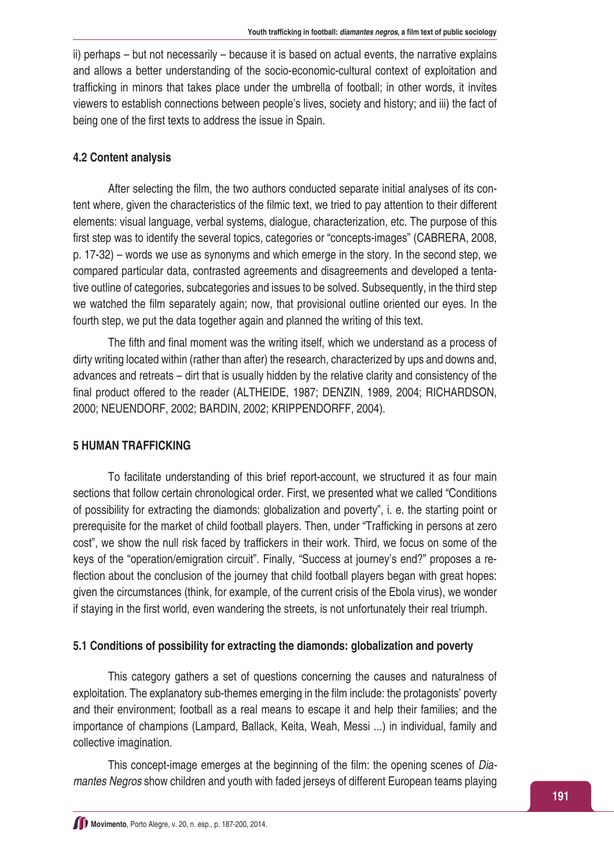ii) perhaps – but not necessarily – because it is based on actual events, the narrative explains and allows a better understanding of the socio-economic-cultural context of exploitation and trafficking in minors that takes place under the umbrella of football; in other words, it invites viewers to establish connections between people's lives, society and history; and iii) the fact of being one of the first texts to address the issue in Spain.

# **4.2 Content analysis**

After selecting the film, the two authors conducted separate initial analyses of its content where, given the characteristics of the filmic text, we tried to pay attention to their different elements: visual language, verbal systems, dialogue, characterization, etc. The purpose of this first step was to identify the several topics, categories or "concepts-images" (CABRERA, 2008, p. 17-32) – words we use as synonyms and which emerge in the story. In the second step, we compared particular data, contrasted agreements and disagreements and developed a tentative outline of categories, subcategories and issues to be solved. Subsequently, in the third step we watched the film separately again; now, that provisional outline oriented our eyes. In the fourth step, we put the data together again and planned the writing of this text.

The fifth and final moment was the writing itself, which we understand as a process of dirty writing located within (rather than after) the research, characterized by ups and downs and, advances and retreats – dirt that is usually hidden by the relative clarity and consistency of the final product offered to the reader (ALTHEIDE, 1987; DENZIN, 1989, 2004; RICHARDSON, 2000; NEUENDORF, 2002; BARDIN, 2002; KRIPPENDORFF, 2004).

# **5 HUMAN TRAFFICKING**

To facilitate understanding of this brief report-account, we structured it as four main sections that follow certain chronological order. First, we presented what we called "Conditions of possibility for extracting the diamonds: globalization and poverty", i. e. the starting point or prerequisite for the market of child football players. Then, under "Trafficking in persons at zero cost", we show the null risk faced by traffickers in their work. Third, we focus on some of the keys of the "operation/emigration circuit". Finally, "Success at journey's end?" proposes a reflection about the conclusion of the journey that child football players began with great hopes: given the circumstances (think, for example, of the current crisis of the Ebola virus), we wonder if staying in the first world, even wandering the streets, is not unfortunately their real triumph.

# **5.1 Conditions of possibility for extracting the diamonds: globalization and poverty**

This category gathers a set of questions concerning the causes and naturalness of exploitation. The explanatory sub-themes emerging in the film include: the protagonists' poverty and their environment; football as a real means to escape it and help their families; and the importance of champions (Lampard, Ballack, Keita, Weah, Messi ...) in individual, family and collective imagination.

This concept-image emerges at the beginning of the film: the opening scenes of *Diamantes Negros* show children and youth with faded jerseys of different European teams playing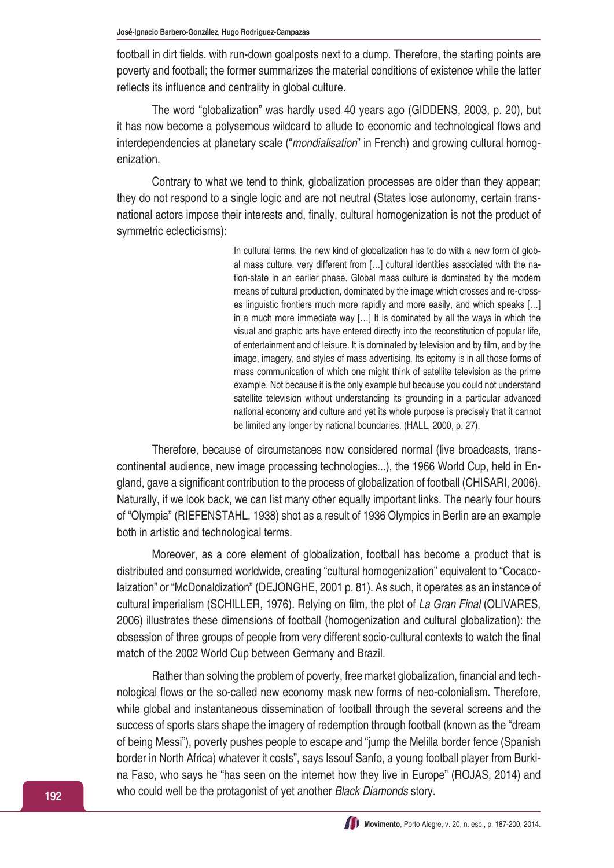football in dirt fields, with run-down goalposts next to a dump. Therefore, the starting points are poverty and football; the former summarizes the material conditions of existence while the latter reflects its influence and centrality in global culture.

The word "globalization" was hardly used 40 years ago (GIDDENS, 2003, p. 20), but it has now become a polysemous wildcard to allude to economic and technological flows and interdependencies at planetary scale ("*mondialisation*" in French) and growing cultural homogenization.

Contrary to what we tend to think, globalization processes are older than they appear; they do not respond to a single logic and are not neutral (States lose autonomy, certain transnational actors impose their interests and, finally, cultural homogenization is not the product of symmetric eclecticisms):

> In cultural terms, the new kind of globalization has to do with a new form of global mass culture, very different from […] cultural identities associated with the nation-state in an earlier phase. Global mass culture is dominated by the modern means of cultural production, dominated by the image which crosses and re-crosses linguistic frontiers much more rapidly and more easily, and which speaks […] in a much more immediate way […] It is dominated by all the ways in which the visual and graphic arts have entered directly into the reconstitution of popular life, of entertainment and of leisure. It is dominated by television and by film, and by the image, imagery, and styles of mass advertising. Its epitomy is in all those forms of mass communication of which one might think of satellite television as the prime example. Not because it is the only example but because you could not understand satellite television without understanding its grounding in a particular advanced national economy and culture and yet its whole purpose is precisely that it cannot be limited any longer by national boundaries. (HALL, 2000, p. 27).

Therefore, because of circumstances now considered normal (live broadcasts, transcontinental audience, new image processing technologies...), the 1966 World Cup, held in England, gave a significant contribution to the process of globalization of football (CHISARI, 2006). Naturally, if we look back, we can list many other equally important links. The nearly four hours of "Olympia" (RIEFENSTAHL, 1938) shot as a result of 1936 Olympics in Berlin are an example both in artistic and technological terms.

Moreover, as a core element of globalization, football has become a product that is distributed and consumed worldwide, creating "cultural homogenization" equivalent to "Cocacolaization" or "McDonaldization" (DEJONGHE, 2001 p. 81). As such, it operates as an instance of cultural imperialism (SCHILLER, 1976). Relying on film, the plot of *La Gran Final* (OLIVARES, 2006) illustrates these dimensions of football (homogenization and cultural globalization): the obsession of three groups of people from very different socio-cultural contexts to watch the final match of the 2002 World Cup between Germany and Brazil.

Rather than solving the problem of poverty, free market globalization, financial and technological flows or the so-called new economy mask new forms of neo-colonialism. Therefore, while global and instantaneous dissemination of football through the several screens and the success of sports stars shape the imagery of redemption through football (known as the "dream of being Messi"), poverty pushes people to escape and "jump the Melilla border fence (Spanish border in North Africa) whatever it costs", says Issouf Sanfo, a young football player from Burkina Faso, who says he "has seen on the internet how they live in Europe" (ROJAS, 2014) and who could well be the protagonist of yet another *Black Diamonds* story.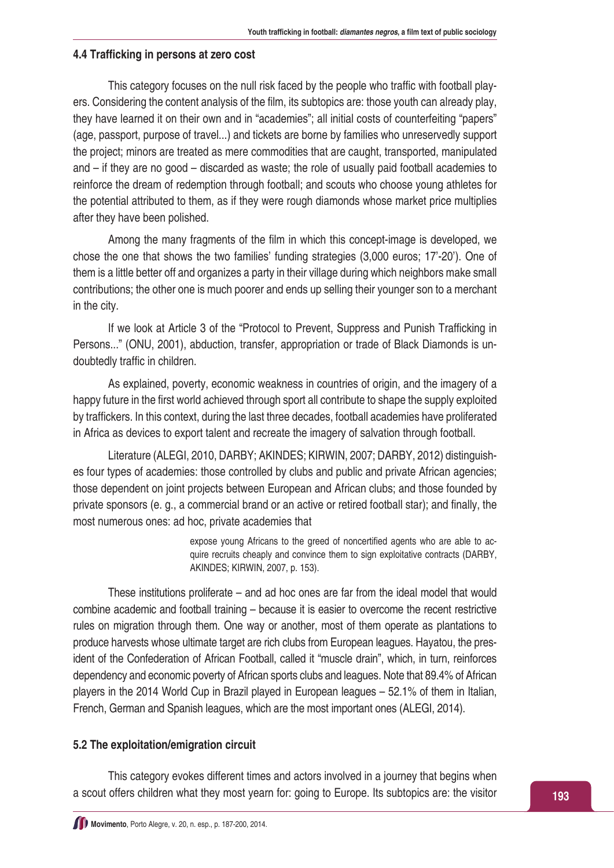#### **4.4 Trafficking in persons at zero cost**

This category focuses on the null risk faced by the people who traffic with football players. Considering the content analysis of the film, its subtopics are: those youth can already play, they have learned it on their own and in "academies"; all initial costs of counterfeiting "papers" (age, passport, purpose of travel...) and tickets are borne by families who unreservedly support the project; minors are treated as mere commodities that are caught, transported, manipulated and – if they are no good – discarded as waste; the role of usually paid football academies to reinforce the dream of redemption through football; and scouts who choose young athletes for the potential attributed to them, as if they were rough diamonds whose market price multiplies after they have been polished.

Among the many fragments of the film in which this concept-image is developed, we chose the one that shows the two families' funding strategies (3,000 euros; 17'-20'). One of them is a little better off and organizes a party in their village during which neighbors make small contributions; the other one is much poorer and ends up selling their younger son to a merchant in the city.

If we look at Article 3 of the "Protocol to Prevent, Suppress and Punish Trafficking in Persons..." (ONU, 2001), abduction, transfer, appropriation or trade of Black Diamonds is undoubtedly traffic in children.

As explained, poverty, economic weakness in countries of origin, and the imagery of a happy future in the first world achieved through sport all contribute to shape the supply exploited by traffickers. In this context, during the last three decades, football academies have proliferated in Africa as devices to export talent and recreate the imagery of salvation through football.

Literature (ALEGI, 2010, DARBY; AKINDES; KIRWIN, 2007; DARBY, 2012) distinguishes four types of academies: those controlled by clubs and public and private African agencies; those dependent on joint projects between European and African clubs; and those founded by private sponsors (e. g., a commercial brand or an active or retired football star); and finally, the most numerous ones: ad hoc, private academies that

> expose young Africans to the greed of noncertified agents who are able to acquire recruits cheaply and convince them to sign exploitative contracts (DARBY, AKINDES; KIRWIN, 2007, p. 153).

These institutions proliferate – and ad hoc ones are far from the ideal model that would combine academic and football training – because it is easier to overcome the recent restrictive rules on migration through them. One way or another, most of them operate as plantations to produce harvests whose ultimate target are rich clubs from European leagues. Hayatou, the president of the Confederation of African Football, called it "muscle drain", which, in turn, reinforces dependency and economic poverty of African sports clubs and leagues. Note that 89.4% of African players in the 2014 World Cup in Brazil played in European leagues – 52.1% of them in Italian, French, German and Spanish leagues, which are the most important ones (ALEGI, 2014).

### **5.2 The exploitation/emigration circuit**

This category evokes different times and actors involved in a journey that begins when a scout offers children what they most yearn for: going to Europe. Its subtopics are: the visitor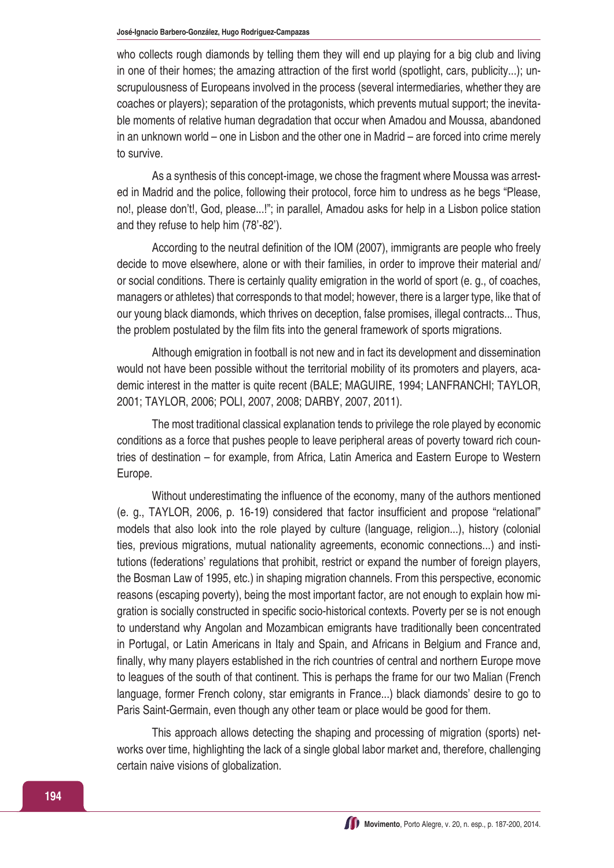who collects rough diamonds by telling them they will end up playing for a big club and living in one of their homes; the amazing attraction of the first world (spotlight, cars, publicity...); unscrupulousness of Europeans involved in the process (several intermediaries, whether they are coaches or players); separation of the protagonists, which prevents mutual support; the inevitable moments of relative human degradation that occur when Amadou and Moussa, abandoned in an unknown world – one in Lisbon and the other one in Madrid – are forced into crime merely to survive.

As a synthesis of this concept-image, we chose the fragment where Moussa was arrested in Madrid and the police, following their protocol, force him to undress as he begs "Please, no!, please don't!, God, please...!"; in parallel, Amadou asks for help in a Lisbon police station and they refuse to help him (78'-82').

According to the neutral definition of the IOM (2007), immigrants are people who freely decide to move elsewhere, alone or with their families, in order to improve their material and/ or social conditions. There is certainly quality emigration in the world of sport (e. g., of coaches, managers or athletes) that corresponds to that model; however, there is a larger type, like that of our young black diamonds, which thrives on deception, false promises, illegal contracts... Thus, the problem postulated by the film fits into the general framework of sports migrations.

Although emigration in football is not new and in fact its development and dissemination would not have been possible without the territorial mobility of its promoters and players, academic interest in the matter is quite recent (BALE; MAGUIRE, 1994; LANFRANCHI; TAYLOR, 2001; TAYLOR, 2006; POLI, 2007, 2008; DARBY, 2007, 2011).

The most traditional classical explanation tends to privilege the role played by economic conditions as a force that pushes people to leave peripheral areas of poverty toward rich countries of destination – for example, from Africa, Latin America and Eastern Europe to Western Europe.

Without underestimating the influence of the economy, many of the authors mentioned (e. g., TAYLOR, 2006, p. 16-19) considered that factor insufficient and propose "relational" models that also look into the role played by culture (language, religion...), history (colonial ties, previous migrations, mutual nationality agreements, economic connections...) and institutions (federations' regulations that prohibit, restrict or expand the number of foreign players, the Bosman Law of 1995, etc.) in shaping migration channels. From this perspective, economic reasons (escaping poverty), being the most important factor, are not enough to explain how migration is socially constructed in specific socio-historical contexts. Poverty per se is not enough to understand why Angolan and Mozambican emigrants have traditionally been concentrated in Portugal, or Latin Americans in Italy and Spain, and Africans in Belgium and France and, finally, why many players established in the rich countries of central and northern Europe move to leagues of the south of that continent. This is perhaps the frame for our two Malian (French language, former French colony, star emigrants in France...) black diamonds' desire to go to Paris Saint-Germain, even though any other team or place would be good for them.

This approach allows detecting the shaping and processing of migration (sports) networks over time, highlighting the lack of a single global labor market and, therefore, challenging certain naive visions of globalization.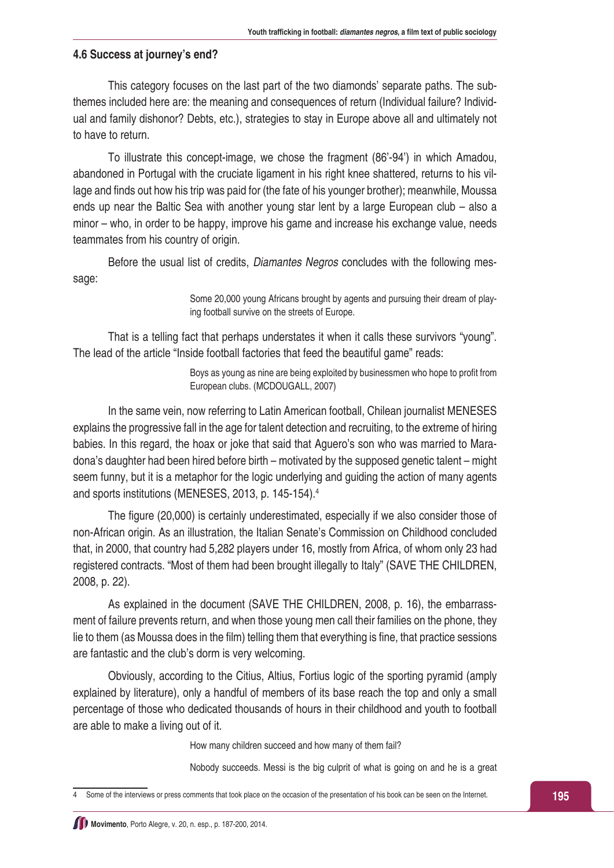#### **4.6 Success at journey's end?**

This category focuses on the last part of the two diamonds' separate paths. The subthemes included here are: the meaning and consequences of return (Individual failure? Individual and family dishonor? Debts, etc.), strategies to stay in Europe above all and ultimately not to have to return.

To illustrate this concept-image, we chose the fragment (86'-94') in which Amadou, abandoned in Portugal with the cruciate ligament in his right knee shattered, returns to his village and finds out how his trip was paid for (the fate of his younger brother); meanwhile, Moussa ends up near the Baltic Sea with another young star lent by a large European club – also a minor – who, in order to be happy, improve his game and increase his exchange value, needs teammates from his country of origin.

Before the usual list of credits, *Diamantes Negros* concludes with the following message:

> Some 20,000 young Africans brought by agents and pursuing their dream of playing football survive on the streets of Europe.

That is a telling fact that perhaps understates it when it calls these survivors "young". The lead of the article "Inside football factories that feed the beautiful game" reads:

> Boys as young as nine are being exploited by businessmen who hope to profit from European clubs. (MCDOUGALL, 2007)

In the same vein, now referring to Latin American football, Chilean journalist MENESES explains the progressive fall in the age for talent detection and recruiting, to the extreme of hiring babies. In this regard, the hoax or joke that said that Aguero's son who was married to Maradona's daughter had been hired before birth – motivated by the supposed genetic talent – might seem funny, but it is a metaphor for the logic underlying and guiding the action of many agents and sports institutions (MENESES, 2013, p. 145-154).<sup>4</sup>

The figure (20,000) is certainly underestimated, especially if we also consider those of non-African origin. As an illustration, the Italian Senate's Commission on Childhood concluded that, in 2000, that country had 5,282 players under 16, mostly from Africa, of whom only 23 had registered contracts. "Most of them had been brought illegally to Italy" (SAVE THE CHILDREN, 2008, p. 22).

As explained in the document (SAVE THE CHILDREN, 2008, p. 16), the embarrassment of failure prevents return, and when those young men call their families on the phone, they lie to them (as Moussa does in the film) telling them that everything is fine, that practice sessions are fantastic and the club's dorm is very welcoming.

Obviously, according to the Citius, Altius, Fortius logic of the sporting pyramid (amply explained by literature), only a handful of members of its base reach the top and only a small percentage of those who dedicated thousands of hours in their childhood and youth to football are able to make a living out of it.

How many children succeed and how many of them fail?

Nobody succeeds. Messi is the big culprit of what is going on and he is a great

<sup>4</sup> Some of the interviews or press comments that took place on the occasion of the presentation of his book can be seen on the Internet.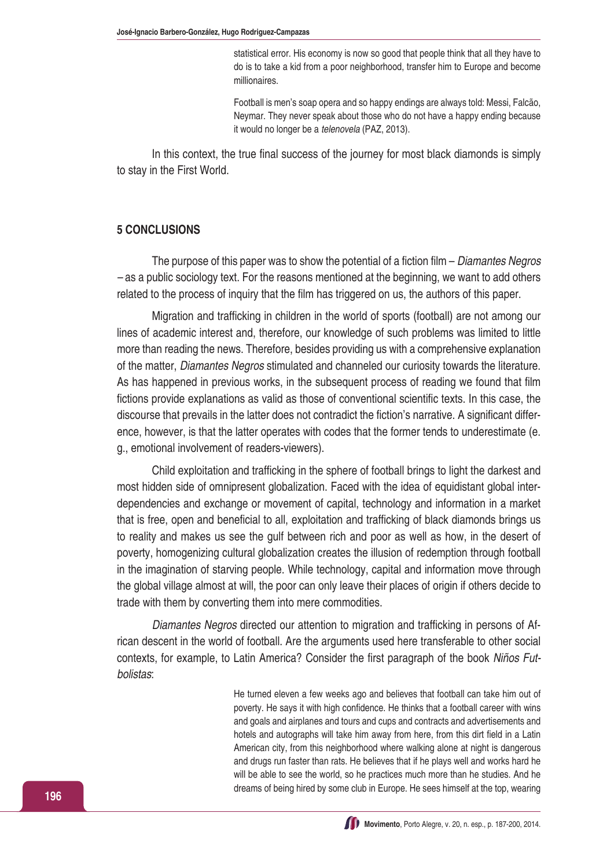statistical error. His economy is now so good that people think that all they have to do is to take a kid from a poor neighborhood, transfer him to Europe and become millionaires.

Football is men's soap opera and so happy endings are always told: Messi, Falcão, Neymar. They never speak about those who do not have a happy ending because it would no longer be a *telenovela* (PAZ, 2013).

In this context, the true final success of the journey for most black diamonds is simply to stay in the First World.

## **5 CONCLUSIONS**

The purpose of this paper was to show the potential of a fiction film – *Diamantes Negros –* as a public sociology text. For the reasons mentioned at the beginning, we want to add others related to the process of inquiry that the film has triggered on us, the authors of this paper.

Migration and trafficking in children in the world of sports (football) are not among our lines of academic interest and, therefore, our knowledge of such problems was limited to little more than reading the news. Therefore, besides providing us with a comprehensive explanation of the matter, *Diamantes Negros* stimulated and channeled our curiosity towards the literature. As has happened in previous works, in the subsequent process of reading we found that film fictions provide explanations as valid as those of conventional scientific texts. In this case, the discourse that prevails in the latter does not contradict the fiction's narrative. A significant difference, however, is that the latter operates with codes that the former tends to underestimate (e. g., emotional involvement of readers-viewers).

Child exploitation and trafficking in the sphere of football brings to light the darkest and most hidden side of omnipresent globalization. Faced with the idea of equidistant global interdependencies and exchange or movement of capital, technology and information in a market that is free, open and beneficial to all, exploitation and trafficking of black diamonds brings us to reality and makes us see the gulf between rich and poor as well as how, in the desert of poverty, homogenizing cultural globalization creates the illusion of redemption through football in the imagination of starving people. While technology, capital and information move through the global village almost at will, the poor can only leave their places of origin if others decide to trade with them by converting them into mere commodities.

*Diamantes Negros* directed our attention to migration and trafficking in persons of African descent in the world of football. Are the arguments used here transferable to other social contexts, for example, to Latin America? Consider the first paragraph of the book *Niños Futbolistas*:

> He turned eleven a few weeks ago and believes that football can take him out of poverty. He says it with high confidence. He thinks that a football career with wins and goals and airplanes and tours and cups and contracts and advertisements and hotels and autographs will take him away from here, from this dirt field in a Latin American city, from this neighborhood where walking alone at night is dangerous and drugs run faster than rats. He believes that if he plays well and works hard he will be able to see the world, so he practices much more than he studies. And he dreams of being hired by some club in Europe. He sees himself at the top, wearing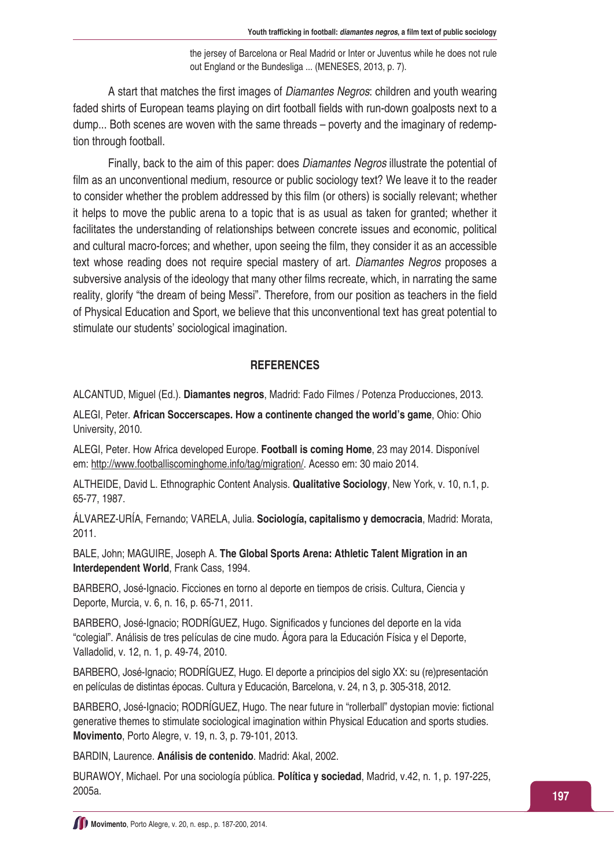the jersey of Barcelona or Real Madrid or Inter or Juventus while he does not rule out England or the Bundesliga ... (MENESES, 2013, p. 7).

A start that matches the first images of *Diamantes Negros*: children and youth wearing faded shirts of European teams playing on dirt football fields with run-down goalposts next to a dump... Both scenes are woven with the same threads – poverty and the imaginary of redemption through football.

Finally, back to the aim of this paper: does *Diamantes Negros* illustrate the potential of film as an unconventional medium, resource or public sociology text? We leave it to the reader to consider whether the problem addressed by this film (or others) is socially relevant; whether it helps to move the public arena to a topic that is as usual as taken for granted; whether it facilitates the understanding of relationships between concrete issues and economic, political and cultural macro-forces; and whether, upon seeing the film, they consider it as an accessible text whose reading does not require special mastery of art. *Diamantes Negros* proposes a subversive analysis of the ideology that many other films recreate, which, in narrating the same reality, glorify "the dream of being Messi". Therefore, from our position as teachers in the field of Physical Education and Sport, we believe that this unconventional text has great potential to stimulate our students' sociological imagination.

## **REFERENCES**

ALCANTUD, Miguel (Ed.). **Diamantes negros**, Madrid: Fado Filmes / Potenza Producciones, 2013.

ALEGI, Peter. **African Soccerscapes. How a continente changed the world's game**, Ohio: Ohio University, 2010.

ALEGI, Peter. How Africa developed Europe. **Football is coming Home**, 23 may 2014. Disponível em: http://www.footballiscominghome.info/tag/migration/. Acesso em: 30 maio 2014.

ALTHEIDE, David L. Ethnographic Content Analysis. **Qualitative Sociology**, New York, v. 10, n.1, p. 65-77, 1987.

ÁLVAREZ-URÍA, Fernando; VARELA, Julia. **Sociología, capitalismo y democracia**, Madrid: Morata, 2011.

BALE, John; MAGUIRE, Joseph A. **The Global Sports Arena: Athletic Talent Migration in an Interdependent World**, Frank Cass, 1994.

BARBERO, José-Ignacio. Ficciones en torno al deporte en tiempos de crisis. Cultura, Ciencia y Deporte, Murcia, v. 6, n. 16, p. 65-71, 2011.

BARBERO, José-Ignacio; RODRÍGUEZ, Hugo. Significados y funciones del deporte en la vida "colegial". Análisis de tres películas de cine mudo. Ágora para la Educación Física y el Deporte, Valladolid, v. 12, n. 1, p. 49-74, 2010.

BARBERO, José-Ignacio; RODRÍGUEZ, Hugo. El deporte a principios del siglo XX: su (re)presentación en películas de distintas épocas. Cultura y Educación, Barcelona, v. 24, n 3, p. 305-318, 2012.

BARBERO, José-Ignacio; RODRÍGUEZ, Hugo. The near future in "rollerball" dystopian movie: fictional generative themes to stimulate sociological imagination within Physical Education and sports studies. **Movimento**, Porto Alegre, v. 19, n. 3, p. 79-101, 2013.

BARDIN, Laurence. **Análisis de contenido**. Madrid: Akal, 2002.

BURAWOY, Michael. Por una sociología pública. **Política y sociedad**, Madrid, v.42, n. 1, p. 197-225, 2005a.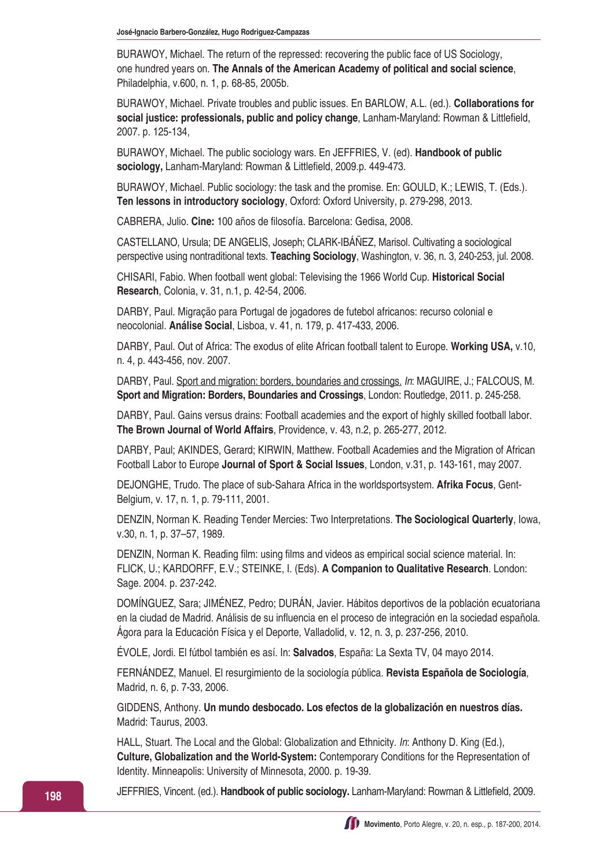BURAWOY, Michael. The return of the repressed: recovering the public face of US Sociology, one hundred years on. **The Annals of the American Academy of political and social science**, Philadelphia, v.600, n. 1, p. 68-85, 2005b.

BURAWOY, Michael. Private troubles and public issues. En BARLOW, A.L. (ed.). **Collaborations for social justice: professionals, public and policy change**, Lanham-Maryland: Rowman & Littlefield, 2007. p. 125-134,

BURAWOY, Michael. The public sociology wars. En JEFFRIES, V. (ed). **Handbook of public sociology,** Lanham-Maryland: Rowman & Littlefield, 2009.p. 449-473.

BURAWOY, Michael. Public sociology: the task and the promise. En: GOULD, K.; LEWIS, T. (Eds.). **Ten lessons in introductory sociology**, Oxford: Oxford University, p. 279-298, 2013.

CABRERA, Julio. **Cine:** 100 años de filosofía. Barcelona: Gedisa, 2008.

CASTELLANO, Ursula; DE ANGELIS, Joseph; CLARK-IBÁÑEZ, Marisol. Cultivating a sociological perspective using nontraditional texts. **Teaching Sociology**, Washington, v. 36, n. 3, 240-253, jul. 2008.

CHISARI, Fabio. When football went global: Televising the 1966 World Cup. **Historical Social Research**, Colonia, v. 31, n.1, p. 42-54, 2006.

DARBY, Paul. Migração para Portugal de jogadores de futebol africanos: recurso colonial e neocolonial. **Análise Social**, Lisboa, v. 41, n. 179, p. 417-433, 2006.

DARBY, Paul. Out of Africa: The exodus of elite African football talent to Europe. **Working USA,** v.10, n. 4, p. 443-456, nov. 2007.

DARBY, Paul. Sport and migration: borders, boundaries and crossings. *In*: MAGUIRE, J.; FALCOUS, M. **Sport and Migration: Borders, Boundaries and Crossings**, London: Routledge, 2011. p. 245-258.

DARBY, Paul. Gains versus drains: Football academies and the export of highly skilled football labor. **The Brown Journal of World Affairs**, Providence, v. 43, n.2, p. 265-277, 2012.

DARBY, Paul; AKINDES, Gerard; KIRWIN, Matthew. Football Academies and the Migration of African Football Labor to Europe **Journal of Sport & Social Issues**, London, v.31, p. 143-161, may 2007.

DEJONGHE, Trudo. The place of sub-Sahara Africa in the worldsportsystem. **Afrika Focus**, Gent-Belgium, v. 17, n. 1, p. 79-111, 2001.

DENZIN, Norman K. Reading Tender Mercies: Two Interpretations. **The Sociological Quarterly**, Iowa, v.30, n. 1, p. 37–57, 1989.

DENZIN, Norman K. Reading film: using films and videos as empirical social science material. In: FLICK, U.; KARDORFF, E.V.; STEINKE, I. (Eds). **A Companion to Qualitative Research**. London: Sage. 2004. p. 237-242.

DOMÍNGUEZ, Sara; JIMÉNEZ, Pedro; DURÁN, Javier. Hábitos deportivos de la población ecuatoriana en la ciudad de Madrid. Análisis de su influencia en el proceso de integración en la sociedad española. Ágora para la Educación Física y el Deporte, Valladolid, v. 12, n. 3, p. 237-256, 2010.

ÉVOLE, Jordi. El fútbol también es así. In: **Salvados**, España: La Sexta TV, 04 mayo 2014.

FERNÁNDEZ, Manuel. El resurgimiento de la sociología pública. **Revista Española de Sociología**, Madrid, n. 6, p. 7-33, 2006.

GIDDENS, Anthony. **Un mundo desbocado. Los efectos de la globalización en nuestros días.**  Madrid: Taurus, 2003.

HALL, Stuart. The Local and the Global: Globalization and Ethnicity. *In*: Anthony D. King (Ed.), **Culture, Globalization and the World-System:** Contemporary Conditions for the Representation of Identity. Minneapolis: University of Minnesota, 2000. p. 19-39.

JEFFRIES, Vincent. (ed.). **Handbook of public sociology.** Lanham-Maryland: Rowman & Littlefield, 2009.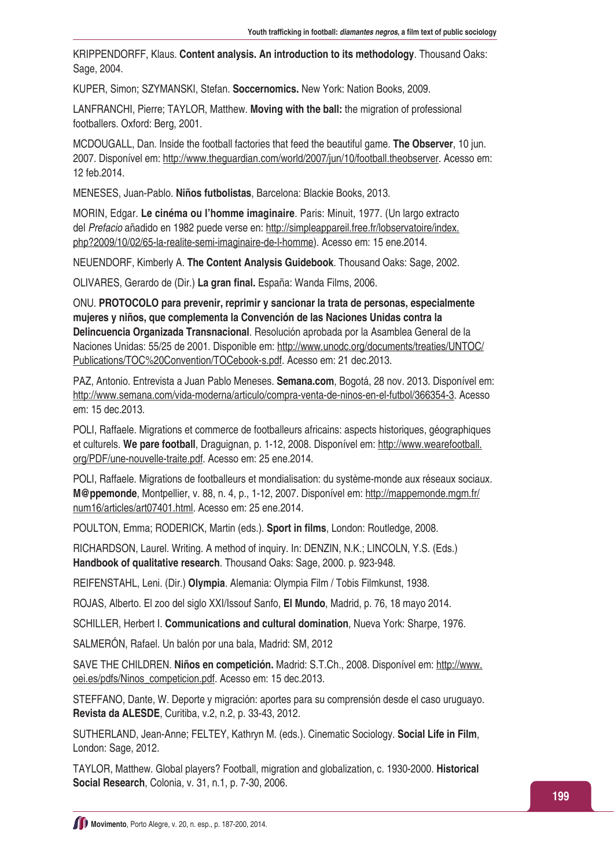KRIPPENDORFF, Klaus. **Content analysis. An introduction to its methodology**. Thousand Oaks: Sage, 2004.

KUPER, Simon; SZYMANSKI, Stefan. **Soccernomics.** New York: Nation Books, 2009.

LANFRANCHI, Pierre; TAYLOR, Matthew. **Moving with the ball:** the migration of professional footballers. Oxford: Berg, 2001.

MCDOUGALL, Dan. Inside the football factories that feed the beautiful game. **The Observer**, 10 jun. 2007. Disponível em: http://www.theguardian.com/world/2007/jun/10/football.theobserver. Acesso em: 12 feb.2014.

MENESES, Juan-Pablo. **Niños futbolistas**, Barcelona: Blackie Books, 2013.

MORIN, Edgar. **Le cinéma ou l'homme imaginaire**. Paris: Minuit, 1977. (Un largo extracto del *Prefacio* añadido en 1982 puede verse en: http://simpleappareil.free.fr/lobservatoire/index. php?2009/10/02/65-la-realite-semi-imaginaire-de-l-homme). Acesso em: 15 ene.2014.

NEUENDORF, Kimberly A. **The Content Analysis Guidebook**. Thousand Oaks: Sage, 2002.

OLIVARES, Gerardo de (Dir.) **La gran final.** España: Wanda Films, 2006.

ONU. **PROTOCOLO para prevenir, reprimir y sancionar la trata de personas, especialmente mujeres y niños, que complementa la Convención de las Naciones Unidas contra la Delincuencia Organizada Transnacional**. Resolución aprobada por la Asamblea General de la Naciones Unidas: 55/25 de 2001. Disponible em: http://www.unodc.org/documents/treaties/UNTOC/ Publications/TOC%20Convention/TOCebook-s.pdf. Acesso em: 21 dec.2013.

PAZ, Antonio. Entrevista a Juan Pablo Meneses. **Semana.com**, Bogotá, 28 nov. 2013. Disponível em: http://www.semana.com/vida-moderna/articulo/compra-venta-de-ninos-en-el-futbol/366354-3. Acesso em: 15 dec.2013.

POLI, Raffaele. Migrations et commerce de footballeurs africains: aspects historiques, géographiques et culturels. **We pare football**, Draguignan, p. 1-12, 2008. Disponível em: http://www.wearefootball. org/PDF/une-nouvelle-traite.pdf. Acesso em: 25 ene.2014.

POLI, Raffaele. Migrations de footballeurs et mondialisation: du système-monde aux réseaux sociaux. **M@ppemonde**, Montpellier, v. 88, n. 4, p., 1-12, 2007. Disponível em: http://mappemonde.mgm.fr/ num16/articles/art07401.html. Acesso em: 25 ene.2014.

POULTON, Emma; RODERICK, Martin (eds.). **Sport in films**, London: Routledge, 2008.

RICHARDSON, Laurel. Writing. A method of inquiry. In: DENZIN, N.K.; LINCOLN, Y.S. (Eds.) **Handbook of qualitative research**. Thousand Oaks: Sage, 2000. p. 923-948.

REIFENSTAHL, Leni. (Dir.) **Olympia**. Alemania: Olympia Film / Tobis Filmkunst, 1938.

ROJAS, Alberto. El zoo del siglo XXI/Issouf Sanfo, **El Mundo**, Madrid, p. 76, 18 mayo 2014.

SCHILLER, Herbert I. **Communications and cultural domination**, Nueva York: Sharpe, 1976.

SALMERÓN, Rafael. Un balón por una bala, Madrid: SM, 2012

SAVE THE CHILDREN. **Niños en competición.** Madrid: S.T.Ch., 2008. Disponível em: http://www. oei.es/pdfs/Ninos\_competicion.pdf. Acesso em: 15 dec.2013.

STEFFANO, Dante, W. Deporte y migración: aportes para su comprensión desde el caso uruguayo. **Revista da ALESDE**, Curitiba, v.2, n.2, p. 33-43, 2012.

SUTHERLAND, Jean-Anne; FELTEY, Kathryn M. (eds.). Cinematic Sociology. **Social Life in Film**, London: Sage, 2012.

TAYLOR, Matthew. Global players? Football, migration and globalization, c. 1930-2000. **Historical Social Research**, Colonia, v. 31, n.1, p. 7-30, 2006.